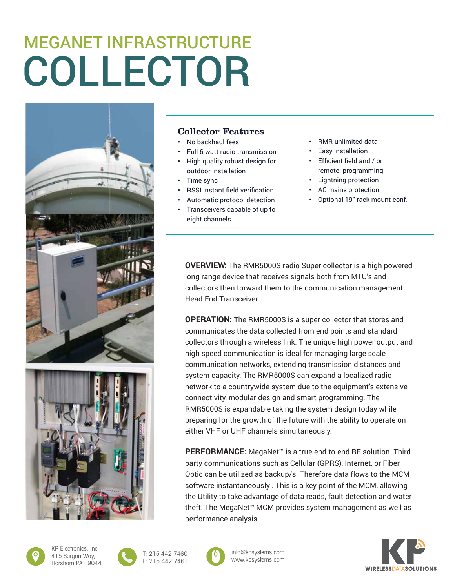## COLLECTOR MEGANET INFRASTRUCTURE





## Collector Features

- No backhaul fees
- Full 6-watt radio transmission
- High quality robust design for outdoor installation
- Time sync
- RSSI instant field verification
- Automatic protocol detection
- Transceivers capable of up to eight channels
- RMR unlimited data
- Easy installation
- Efficient field and / or remote programming
- Lightning protection
- AC mains protection
- Optional 19" rack mount conf.

**OVERVIEW:** The RMR5000S radio Super collector is a high powered long range device that receives signals both from MTU's and collectors then forward them to the communication management Head-End Transceiver.

**OPERATION:** The RMR5000S is a super collector that stores and communicates the data collected from end points and standard collectors through a wireless link. The unique high power output and high speed communication is ideal for managing large scale communication networks, extending transmission distances and system capacity. The RMR5000S can expand a localized radio network to a countrywide system due to the equipment's extensive connectivity, modular design and smart programming. The RMR5000S is expandable taking the system design today while preparing for the growth of the future with the ability to operate on either VHF or UHF channels simultaneously.

**PERFORMANCE:** MegaNet™ is a true end-to-end RF solution. Third party communications such as Cellular (GPRS), Internet, or Fiber Optic can be utilized as backup/s. Therefore data flows to the MCM software instantaneously . This is a key point of the MCM, allowing the Utility to take advantage of data reads, fault detection and water theft. The MegaNet™ MCM provides system management as well as performance analysis.